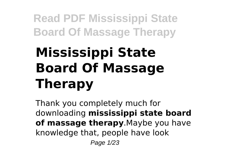# **Mississippi State Board Of Massage Therapy**

Thank you completely much for downloading **mississippi state board of massage therapy**.Maybe you have knowledge that, people have look Page 1/23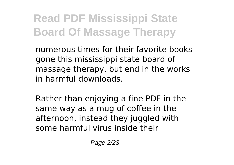numerous times for their favorite books gone this mississippi state board of massage therapy, but end in the works in harmful downloads.

Rather than enjoying a fine PDF in the same way as a mug of coffee in the afternoon, instead they juggled with some harmful virus inside their

Page 2/23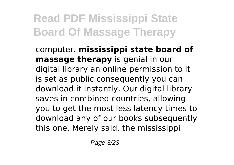computer. **mississippi state board of massage therapy** is genial in our digital library an online permission to it is set as public consequently you can download it instantly. Our digital library saves in combined countries, allowing you to get the most less latency times to download any of our books subsequently this one. Merely said, the mississippi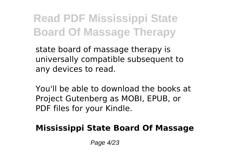state board of massage therapy is universally compatible subsequent to any devices to read.

You'll be able to download the books at Project Gutenberg as MOBI, EPUB, or PDF files for your Kindle.

#### **Mississippi State Board Of Massage**

Page 4/23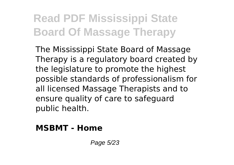The Mississippi State Board of Massage Therapy is a regulatory board created by the legislature to promote the highest possible standards of professionalism for all licensed Massage Therapists and to ensure quality of care to safeguard public health.

#### **MSBMT - Home**

Page 5/23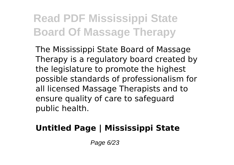The Mississippi State Board of Massage Therapy is a regulatory board created by the legislature to promote the highest possible standards of professionalism for all licensed Massage Therapists and to ensure quality of care to safeguard public health.

#### **Untitled Page | Mississippi State**

Page 6/23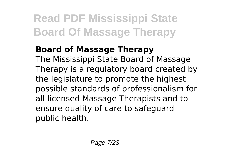#### **Board of Massage Therapy**

The Mississippi State Board of Massage Therapy is a regulatory board created by the legislature to promote the highest possible standards of professionalism for all licensed Massage Therapists and to ensure quality of care to safeguard public health.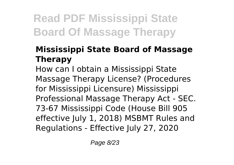#### **Mississippi State Board of Massage Therapy**

How can I obtain a Mississippi State Massage Therapy License? (Procedures for Mississippi Licensure) Mississippi Professional Massage Therapy Act - SEC. 73-67 Mississippi Code (House Bill 905 effective July 1, 2018) MSBMT Rules and Regulations - Effective July 27, 2020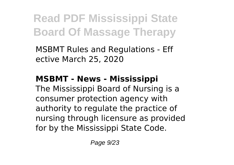MSBMT Rules and Regulations - Eff ective March 25, 2020

#### **MSBMT - News - Mississippi**

The Mississippi Board of Nursing is a consumer protection agency with authority to regulate the practice of nursing through licensure as provided for by the Mississippi State Code.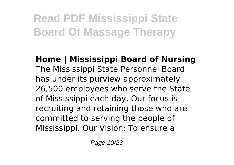**Home | Mississippi Board of Nursing** The Mississippi State Personnel Board has under its purview approximately 26,500 employees who serve the State of Mississippi each day. Our focus is recruiting and retaining those who are committed to serving the people of Mississippi. Our Vision: To ensure a

Page 10/23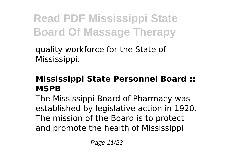quality workforce for the State of Mississippi.

#### **Mississippi State Personnel Board :: MSPB**

The Mississippi Board of Pharmacy was established by legislative action in 1920. The mission of the Board is to protect and promote the health of Mississippi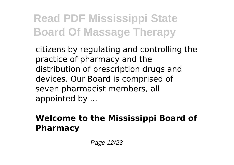citizens by regulating and controlling the practice of pharmacy and the distribution of prescription drugs and devices. Our Board is comprised of seven pharmacist members, all appointed by ...

#### **Welcome to the Mississippi Board of Pharmacy**

Page 12/23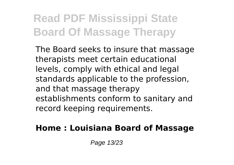The Board seeks to insure that massage therapists meet certain educational levels, comply with ethical and legal standards applicable to the profession, and that massage therapy establishments conform to sanitary and record keeping requirements.

#### **Home : Louisiana Board of Massage**

Page 13/23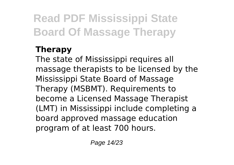#### **Therapy**

The state of Mississippi requires all massage therapists to be licensed by the Mississippi State Board of Massage Therapy (MSBMT). Requirements to become a Licensed Massage Therapist (LMT) in Mississippi include completing a board approved massage education program of at least 700 hours.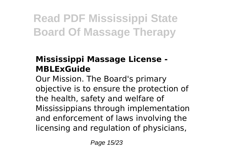#### **Mississippi Massage License - MBLExGuide**

Our Mission. The Board's primary objective is to ensure the protection of the health, safety and welfare of Mississippians through implementation and enforcement of laws involving the licensing and regulation of physicians,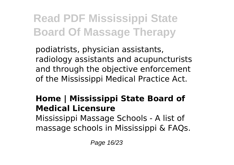podiatrists, physician assistants, radiology assistants and acupuncturists and through the objective enforcement of the Mississippi Medical Practice Act.

#### **Home | Mississippi State Board of Medical Licensure**

Mississippi Massage Schools - A list of massage schools in Mississippi & FAQs.

Page 16/23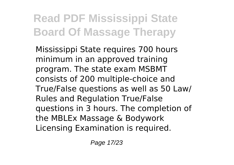Mississippi State requires 700 hours minimum in an approved training program. The state exam MSBMT consists of 200 multiple-choice and True/False questions as well as 50 Law/ Rules and Regulation True/False questions in 3 hours. The completion of the MBLEx Massage & Bodywork Licensing Examination is required.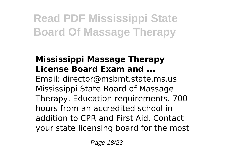#### **Mississippi Massage Therapy License Board Exam and ...** Email: director@msbmt.state.ms.us Mississippi State Board of Massage Therapy. Education requirements. 700 hours from an accredited school in addition to CPR and First Aid. Contact your state licensing board for the most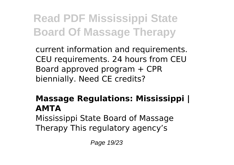current information and requirements. CEU requirements. 24 hours from CEU Board approved program + CPR biennially. Need CE credits?

#### **Massage Regulations: Mississippi | AMTA** Mississippi State Board of Massage Therapy This regulatory agency's

Page 19/23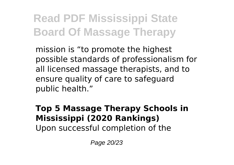mission is "to promote the highest possible standards of professionalism for all licensed massage therapists, and to ensure quality of care to safeguard public health."

#### **Top 5 Massage Therapy Schools in Mississippi (2020 Rankings)** Upon successful completion of the

Page 20/23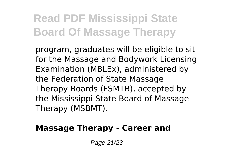program, graduates will be eligible to sit for the Massage and Bodywork Licensing Examination (MBLEx), administered by the Federation of State Massage Therapy Boards (FSMTB), accepted by the Mississippi State Board of Massage Therapy (MSBMT).

#### **Massage Therapy - Career and**

Page 21/23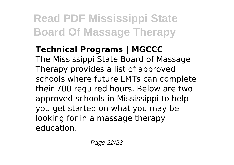**Technical Programs | MGCCC** The Mississippi State Board of Massage Therapy provides a list of approved schools where future LMTs can complete their 700 required hours. Below are two approved schools in Mississippi to help you get started on what you may be looking for in a massage therapy education.